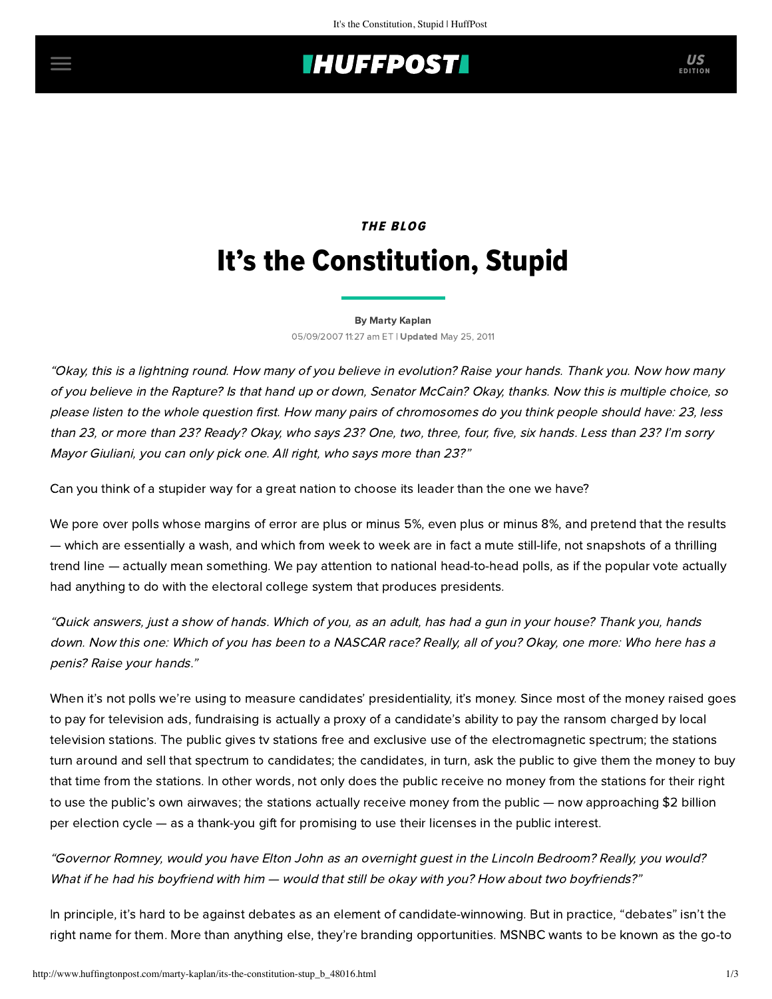# **THUFFPOST**

# THE BLOG It's the Constitution, Stupid

#### [By Marty Kaplan](http://www.huffingtonpost.com/author/marty-kaplan)

05/09/2007 11:27 am ET | Updated May 25, 2011

"Okay, this is a lightning round. How many of you believe in evolution? Raise your hands. Thank you. Now how many of you believe in the Rapture? Is that hand up or down, Senator McCain? Okay, thanks. Now this is multiple choice, so please listen to the whole question first. How many pairs of chromosomes do you think people should have: 23, less than 23, or more than 23? Ready? Okay, who says 23? One, two, three, four, five, six hands. Less than 23? I'm sorry Mayor Giuliani, you can only pick one. All right, who says more than 23?"

Can you think of a stupider way for a great nation to choose its leader than the one we have?

We pore over polls whose margins of error are plus or minus 5%, even plus or minus 8%, and pretend that the results — which are essentially a wash, and which from week to week are in fact a mute still-life, not snapshots of a thrilling trend line — actually mean something. We pay attention to national head-to-head polls, as if the popular vote actually had anything to do with the electoral college system that produces presidents.

"Quick answers, just a show of hands. Which of you, as an adult, has had a gun in your house? Thank you, hands down. Now this one: Which of you has been to a NASCAR race? Really, all of you? Okay, one more: Who here has a penis? Raise your hands."

When it's not polls we're using to measure candidates' presidentiality, it's money. Since most of the money raised goes to pay for television ads, fundraising is actually a proxy of a candidate's ability to pay the ransom charged by local television stations. The public gives tv stations free and exclusive use of the electromagnetic spectrum; the stations turn around and sell that spectrum to candidates; the candidates, in turn, ask the public to give them the money to buy that time from the stations. In other words, not only does the public receive no money from the stations for their right to use the public's own airwaves; the stations actually receive money from the public — now approaching \$2 billion per election cycle — as a thank-you gift for promising to use their licenses in the public interest.

"Governor Romney, would you have Elton John as an overnight guest in the Lincoln Bedroom? Really, you would? What if he had his boyfriend with him — would that still be okay with you? How about two boyfriends?"

In principle, it's hard to be against debates as an element of candidate-winnowing. But in practice, "debates" isn't the right name for them. More than anything else, they're branding opportunities. MSNBC wants to be known as the go-to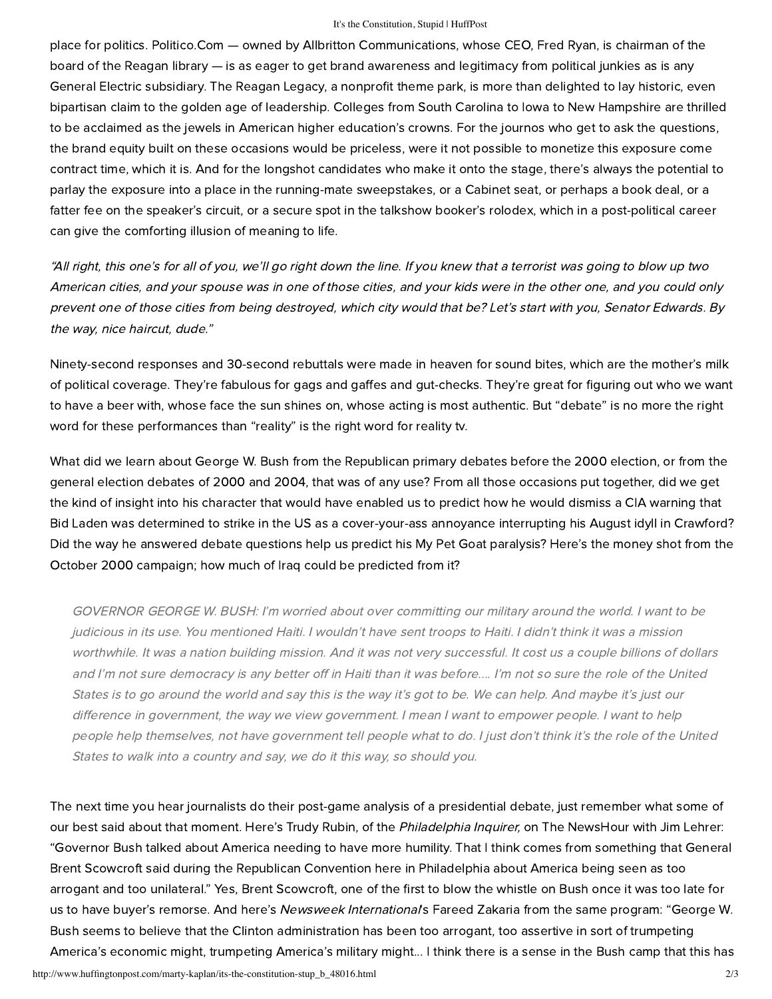### It's the Constitution, Stupid | HuffPost

place for politics. [Politico.Com](http://www.salon.com/opinion/greenwald/2007/05/04/politico_funding/index.html) — owned by Allbritton Communications, whose CEO, Fred Ryan, is chairman of the board of the Reagan library — is as eager to get brand awareness and legitimacy from political junkies as is any General Electric subsidiary. The Reagan Legacy, a nonprofit theme park, is more than delighted to lay historic, even bipartisan claim to the golden age of leadership. Colleges from South Carolina to Iowa to New Hampshire are thrilled to be acclaimed as the jewels in American higher education's crowns. For the journos who get to ask the questions, the brand equity built on these occasions would be priceless, were it not possible to monetize this exposure come contract time, which it is. And for the longshot candidates who make it onto the stage, there's always the potential to parlay the exposure into a place in the running-mate sweepstakes, or a Cabinet seat, or perhaps a book deal, or a fatter fee on the speaker's circuit, or a secure spot in the talkshow booker's rolodex, which in a post-political career can give the comforting illusion of meaning to life.

"All right, this one's for all of you, we'll go right down the line. If you knew that a terrorist was going to blow up two American cities, and your spouse was in one of those cities, and your kids were in the other one, and you could only prevent one of those cities from being destroyed, which city would that be? Let's start with you, Senator Edwards. By the way, nice haircut, dude."

Ninety-second responses and 30-second rebuttals were made in heaven for sound bites, which are the mother's milk of political coverage. They're fabulous for gags and gaffes and gut-checks. They're great for figuring out who we want to have a beer with, whose face the sun shines on, whose acting is most authentic. But "debate" is no more the right word for these performances than "reality" is the right word for reality tv.

What did we learn about George W. Bush from the Republican primary debates before the 2000 election, or from the general election debates of 2000 and 2004, that was of any use? From all those occasions put together, did we get the kind of insight into his character that would have enabled us to predict how he would dismiss a CIA warning that Bid Laden was determined to strike in the US as a cover-your-ass annoyance interrupting his August idyll in Crawford? Did the way he answered debate questions help us predict his My Pet Goat paralysis? Here's the money shot from the October 2000 campaign; how much of Iraq could be predicted from it?

GOVERNOR GEORGE W. BUSH: I'm worried about over committing our military around the world. I want to be judicious in its use. You mentioned Haiti. I wouldn't have sent troops to Haiti. I didn't think it was a mission worthwhile. It was a nation building mission. And it was not very successful. It cost us a couple billions of dollars and I'm not sure democracy is any better off in Haiti than it was before.... I'm not so sure the role of the United States is to go around the world and say this is the way it's got to be. We can help. And maybe it's just our difference in government, the way we view government. I mean I want to empower people. I want to help people help themselves, not have government tell people what to do. I just don't think it's the role of the United States to walk into a country and say, we do it this way, so should you.

The next time you hear journalists do their post-game analysis of a presidential debate, just remember what some of our best said about that moment. Here's Trudy Rubin, of the Philadelphia Inquirer, on [The NewsHour with Jim Lehrer](http://www.pbs.org/newshour/bb/politics/july-dec00/for-policy_10-12.html): "Governor Bush talked about America needing to have more humility. That I think comes from something that General Brent Scowcroft said during the Republican Convention here in Philadelphia about America being seen as too arrogant and too unilateral." Yes, Brent Scowcroft, one of the first to blow the whistle on Bush once it was too late for us to have buyer's remorse. And here's Newsweek International's Fareed Zakaria from the same program: "George W. Bush seems to believe that the Clinton administration has been too arrogant, too assertive in sort of trumpeting America's economic might, trumpeting America's military might... I think there is a sense in the Bush camp that this has